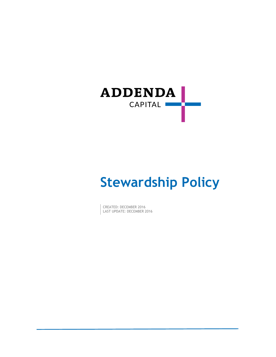

# **Stewardship Policy**

CREATED: DECEMBER 2016 LAST UPDATE: DECEMBER 2016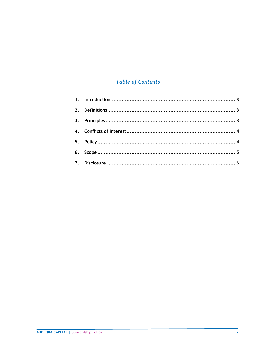# **Table of Contents**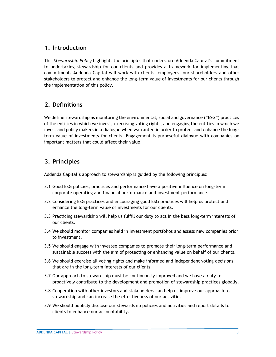## <span id="page-2-0"></span>**1. Introduction**

This *Stewardship Policy* highlights the principles that underscore Addenda Capital's commitment to undertaking stewardship for our clients and provides a framework for implementing that commitment. Addenda Capital will work with clients, employees, our shareholders and other stakeholders to protect and enhance the long-term value of investments for our clients through the implementation of this policy.

# <span id="page-2-1"></span>**2. Definitions**

We define stewardship as monitoring the environmental, social and governance ("ESG") practices of the entities in which we invest, exercising voting rights, and engaging the entities in which we invest and policy makers in a dialogue when warranted in order to protect and enhance the longterm value of investments for clients. Engagement is purposeful dialogue with companies on important matters that could affect their value.

# <span id="page-2-2"></span>**3. Principles**

Addenda Capital's approach to stewardship is guided by the following principles:

- 3.1 Good ESG policies, practices and performance have a positive influence on long-term corporate operating and financial performance and investment performance.
- 3.2 Considering ESG practices and encouraging good ESG practices will help us protect and enhance the long-term value of investments for our clients.
- 3.3 Practicing stewardship will help us fulfill our duty to act in the best long-term interests of our clients.
- 3.4 We should monitor companies held in investment portfolios and assess new companies prior to investment.
- 3.5 We should engage with investee companies to promote their long-term performance and sustainable success with the aim of protecting or enhancing value on behalf of our clients.
- 3.6 We should exercise all voting rights and make informed and independent voting decisions that are in the long-term interests of our clients.
- 3.7 Our approach to stewardship must be continuously improved and we have a duty to proactively contribute to the development and promotion of stewardship practices globally.
- 3.8 Cooperation with other investors and stakeholders can help us improve our approach to stewardship and can increase the effectiveness of our activities.
- 3.9 We should publicly disclose our stewardship policies and activities and report details to clients to enhance our accountability.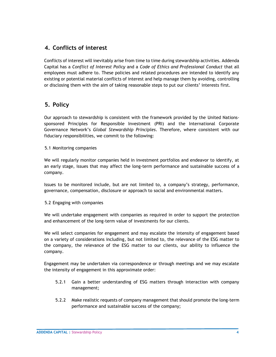## <span id="page-3-0"></span>**4. Conflicts of interest**

Conflicts of interest will inevitably arise from time to time during stewardship activities. Addenda Capital has a *Conflict of Interest Policy* and a *Code of Ethics and Professional Conduct* that all employees must adhere to. These policies and related procedures are intended to identify any existing or potential material conflicts of interest and help manage them by avoiding, controlling or disclosing them with the aim of taking reasonable steps to put our clients' interests first.

## <span id="page-3-1"></span>**5. Policy**

Our approach to stewardship is consistent with the framework provided by the United Nationssponsored Principles for Responsible Investment (PRI) and the International Corporate Governance Network's *Global Stewardship Principles*. Therefore, where consistent with our fiduciary responsibilities, we commit to the following:

#### 5.1 Monitoring companies

We will regularly monitor companies held in investment portfolios and endeavor to identify, at an early stage, issues that may affect the long-term performance and sustainable success of a company.

Issues to be monitored include, but are not limited to, a company's strategy, performance, governance, compensation, disclosure or approach to social and environmental matters.

#### 5.2 Engaging with companies

We will undertake engagement with companies as required in order to support the protection and enhancement of the long-term value of investments for our clients.

We will select companies for engagement and may escalate the intensity of engagement based on a variety of considerations including, but not limited to, the relevance of the ESG matter to the company, the relevance of the ESG matter to our clients, our ability to influence the company.

Engagement may be undertaken via correspondence or through meetings and we may escalate the intensity of engagement in this approximate order:

- 5.2.1 Gain a better understanding of ESG matters through interaction with company management;
- 5.2.2 Make realistic requests of company management that should promote the long-term performance and sustainable success of the company;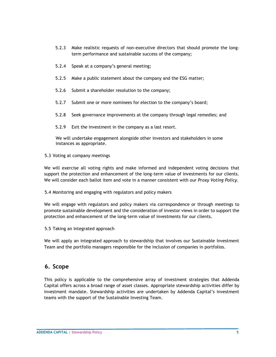- 5.2.3 Make realistic requests of non-executive directors that should promote the longterm performance and sustainable success of the company;
- 5.2.4 Speak at a company's general meeting;
- 5.2.5 Make a public statement about the company and the ESG matter;
- 5.2.6 Submit a shareholder resolution to the company;
- 5.2.7 Submit one or more nominees for election to the company's board;
- 5.2.8 Seek governance improvements at the company through legal remedies; and
- 5.2.9 Exit the investment in the company as a last resort.

We will undertake engagement alongside other investors and stakeholders in some instances as appropriate.

5.3 Voting at company meetings

We will exercise all voting rights and make informed and independent voting decisions that support the protection and enhancement of the long-term value of investments for our clients. We will consider each ballot item and vote in a manner consistent with our *Proxy Voting Policy*.

5.4 Monitoring and engaging with regulators and policy makers

We will engage with regulators and policy makers via correspondence or through meetings to promote sustainable development and the consideration of investor views in order to support the protection and enhancement of the long-term value of investments for our clients.

5.5 Taking an integrated approach

We will apply an integrated approach to stewardship that involves our Sustainable Investment Team and the portfolio managers responsible for the inclusion of companies in portfolios.

#### <span id="page-4-0"></span>**6. Scope**

This policy is applicable to the comprehensive array of investment strategies that Addenda Capital offers across a broad range of asset classes. Appropriate stewardship activities differ by investment mandate. Stewardship activities are undertaken by Addenda Capital's investment teams with the support of the Sustainable Investing Team.